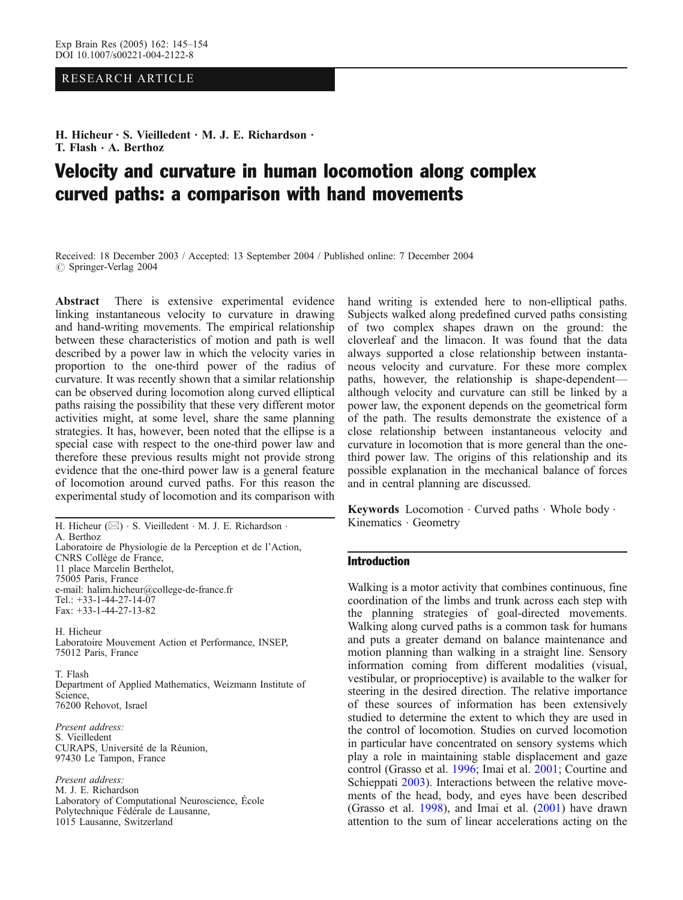# RESEARCH ARTICLE

H. Hicheur  $\cdot$  S. Vieilledent  $\cdot$  M. J. E. Richardson  $\cdot$ T. Flash . A. Berthoz

# Velocity and curvature in human locomotion along complex curved paths: a comparison with hand movements

Received: 18 December 2003 / Accepted: 13 September 2004 / Published online: 7 December 2004 *#* Springer-Verlag 2004

Abstract There is extensive experimental evidence linking instantaneous velocity to curvature in drawing and hand-writing movements. The empirical relationship between these characteristics of motion and path is well described by a power law in which the velocity varies in proportion to the one-third power of the radius of curvature. It was recently shown that a similar relationship can be observed during locomotion along curved elliptical paths raising the possibility that these very different motor activities might, at some level, share the same planning strategies. It has, however, been noted that the ellipse is a special case with respect to the one-third power law and therefore these previous results might not provide strong evidence that the one-third power law is a general feature of locomotion around curved paths. For this reason the experimental study of locomotion and its comparison with

H. Hicheur ( $\boxtimes$ ) · S. Vieilledent · M. J. E. Richardson · A. Berthoz Laboratoire de Physiologie de la Perception et de l'Action, CNRS Collège de France, 11 place Marcelin Berthelot, 75005 Paris, France e-mail: halim.hicheur@college-de-france.fr Tel.: +33-1-44-27-14-07 Fax: +33-1-44-27-13-82

H. Hicheur Laboratoire Mouvement Action et Performance, INSEP, 75012 Paris, France

T. Flash Department of Applied Mathematics, Weizmann Institute of Science, 76200 Rehovot, Israel

Present address: S. Vieilledent CURAPS, Université de la Réunion, 97430 Le Tampon, France

Present address: M. J. E. Richardson Laboratory of Computational Neuroscience, École Polytechnique Fédérale de Lausanne, 1015 Lausanne, Switzerland

hand writing is extended here to non-elliptical paths. Subjects walked along predefined curved paths consisting of two complex shapes drawn on the ground: the cloverleaf and the limacon. It was found that the data always supported a close relationship between instantaneous velocity and curvature. For these more complex paths, however, the relationship is shape-dependent although velocity and curvature can still be linked by a power law, the exponent depends on the geometrical form of the path. The results demonstrate the existence of a close relationship between instantaneous velocity and curvature in locomotion that is more general than the onethird power law. The origins of this relationship and its possible explanation in the mechanical balance of forces and in central planning are discussed.

Keywords Locomotion  $\cdot$  Curved paths  $\cdot$  Whole body  $\cdot$ Kinematics . Geometry

# Introduction

Walking is a motor activity that combines continuous, fine coordination of the limbs and trunk across each step with the planning strategies of goal-directed movements. Walking along curved paths is a common task for humans and puts a greater demand on balance maintenance and motion planning than walking in a straight line. Sensory information coming from different modalities (visual, vestibular, or proprioceptive) is available to the walker for steering in the desired direction. The relative importance of these sources of information has been extensively studied to determine the extent to which they are used in the control of locomotion. Studies on curved locomotion in particular have concentrated on sensory systems which play a role in maintaining stable displacement and gaze control (Grasso et al. [1996](#page-8-0); Imai et al. [2001;](#page-8-0) Courtine and Schieppati [2003](#page-8-0)). Interactions between the relative movements of the head, body, and eyes have been described (Grasso et al. [1998\)](#page-8-0), and Imai et al. ([2001\)](#page-8-0) have drawn attention to the sum of linear accelerations acting on the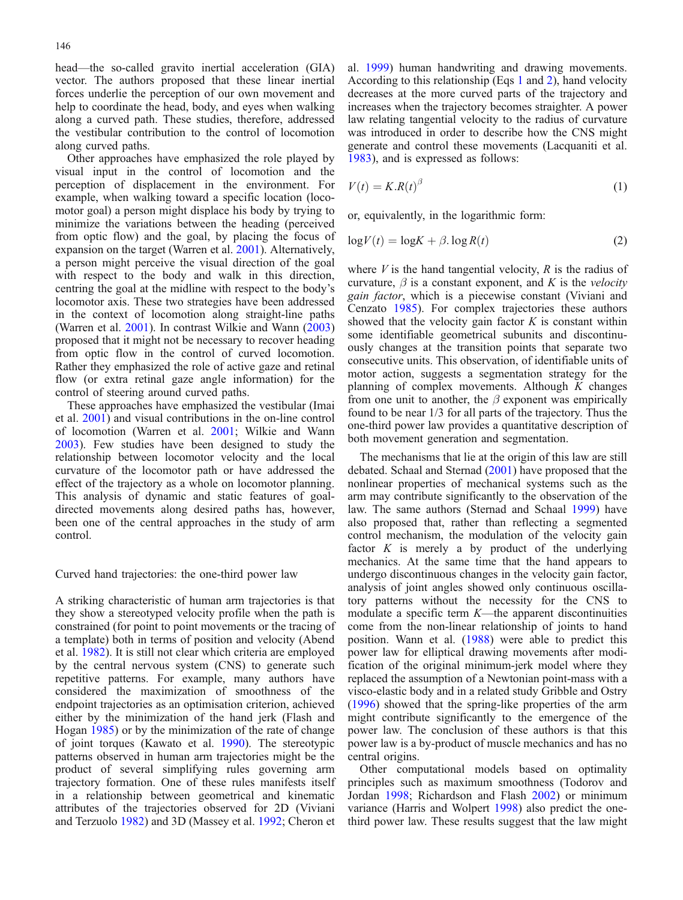head—the so-called gravito inertial acceleration (GIA) vector. The authors proposed that these linear inertial forces underlie the perception of our own movement and help to coordinate the head, body, and eyes when walking along a curved path. These studies, therefore, addressed the vestibular contribution to the control of locomotion along curved paths.

Other approaches have emphasized the role played by visual input in the control of locomotion and the perception of displacement in the environment. For example, when walking toward a specific location (locomotor goal) a person might displace his body by trying to minimize the variations between the heading (perceived from optic flow) and the goal, by placing the focus of expansion on the target (Warren et al. [2001\)](#page-9-0). Alternatively, a person might perceive the visual direction of the goal with respect to the body and walk in this direction, centring the goal at the midline with respect to the body's locomotor axis. These two strategies have been addressed in the context of locomotion along straight-line paths (Warren et al. [2001](#page-9-0)). In contrast Wilkie and Wann ([2003\)](#page-9-0) proposed that it might not be necessary to recover heading from optic flow in the control of curved locomotion. Rather they emphasized the role of active gaze and retinal flow (or extra retinal gaze angle information) for the control of steering around curved paths.

These approaches have emphasized the vestibular (Imai et al. [2001\)](#page-8-0) and visual contributions in the on-line control of locomotion (Warren et al. [2001;](#page-9-0) Wilkie and Wann [2003](#page-9-0)). Few studies have been designed to study the relationship between locomotor velocity and the local curvature of the locomotor path or have addressed the effect of the trajectory as a whole on locomotor planning. This analysis of dynamic and static features of goaldirected movements along desired paths has, however, been one of the central approaches in the study of arm control.

#### Curved hand trajectories: the one-third power law

A striking characteristic of human arm trajectories is that they show a stereotyped velocity profile when the path is constrained (for point to point movements or the tracing of a template) both in terms of position and velocity (Abend et al. [1982\)](#page-8-0). It is still not clear which criteria are employed by the central nervous system (CNS) to generate such repetitive patterns. For example, many authors have considered the maximization of smoothness of the endpoint trajectories as an optimisation criterion, achieved either by the minimization of the hand jerk (Flash and Hogan [1985\)](#page-8-0) or by the minimization of the rate of change of joint torques (Kawato et al. [1990](#page-9-0)). The stereotypic patterns observed in human arm trajectories might be the product of several simplifying rules governing arm trajectory formation. One of these rules manifests itself in a relationship between geometrical and kinematic attributes of the trajectories observed for 2D (Viviani and Terzuolo [1982\)](#page-9-0) and 3D (Massey et al. [1992;](#page-9-0) Cheron et al. [1999\)](#page-8-0) human handwriting and drawing movements. According to this relationship (Eqs 1 and 2), hand velocity decreases at the more curved parts of the trajectory and increases when the trajectory becomes straighter. A power law relating tangential velocity to the radius of curvature was introduced in order to describe how the CNS might generate and control these movements (Lacquaniti et al. [1983](#page-9-0)), and is expressed as follows:

$$
V(t) = K.R(t)^{\beta} \tag{1}
$$

or, equivalently, in the logarithmic form:

$$
\log V(t) = \log K + \beta \cdot \log R(t) \tag{2}
$$

where  $V$  is the hand tangential velocity,  $R$  is the radius of curvature,  $\beta$  is a constant exponent, and K is the velocity gain factor, which is a piecewise constant (Viviani and Cenzato [1985](#page-9-0)). For complex trajectories these authors showed that the velocity gain factor  $K$  is constant within some identifiable geometrical subunits and discontinuously changes at the transition points that separate two consecutive units. This observation, of identifiable units of motor action, suggests a segmentation strategy for the planning of complex movements. Although  $K$  changes from one unit to another, the  $\beta$  exponent was empirically found to be near 1/3 for all parts of the trajectory. Thus the one-third power law provides a quantitative description of both movement generation and segmentation.

The mechanisms that lie at the origin of this law are still debated. Schaal and Sternad [\(2001](#page-9-0)) have proposed that the nonlinear properties of mechanical systems such as the arm may contribute significantly to the observation of the law. The same authors (Sternad and Schaal [1999](#page-9-0)) have also proposed that, rather than reflecting a segmented control mechanism, the modulation of the velocity gain factor  $K$  is merely a by product of the underlying mechanics. At the same time that the hand appears to undergo discontinuous changes in the velocity gain factor, analysis of joint angles showed only continuous oscillatory patterns without the necessity for the CNS to modulate a specific term  $K$ —the apparent discontinuities come from the non-linear relationship of joints to hand position. Wann et al. [\(1988](#page-9-0)) were able to predict this power law for elliptical drawing movements after modification of the original minimum-jerk model where they replaced the assumption of a Newtonian point-mass with a visco-elastic body and in a related study Gribble and Ostry ([1996\)](#page-8-0) showed that the spring-like properties of the arm might contribute significantly to the emergence of the power law. The conclusion of these authors is that this power law is a by-product of muscle mechanics and has no central origins.

Other computational models based on optimality principles such as maximum smoothness (Todorov and Jordan [1998;](#page-9-0) Richardson and Flash [2002\)](#page-9-0) or minimum variance (Harris and Wolpert [1998\)](#page-8-0) also predict the onethird power law. These results suggest that the law might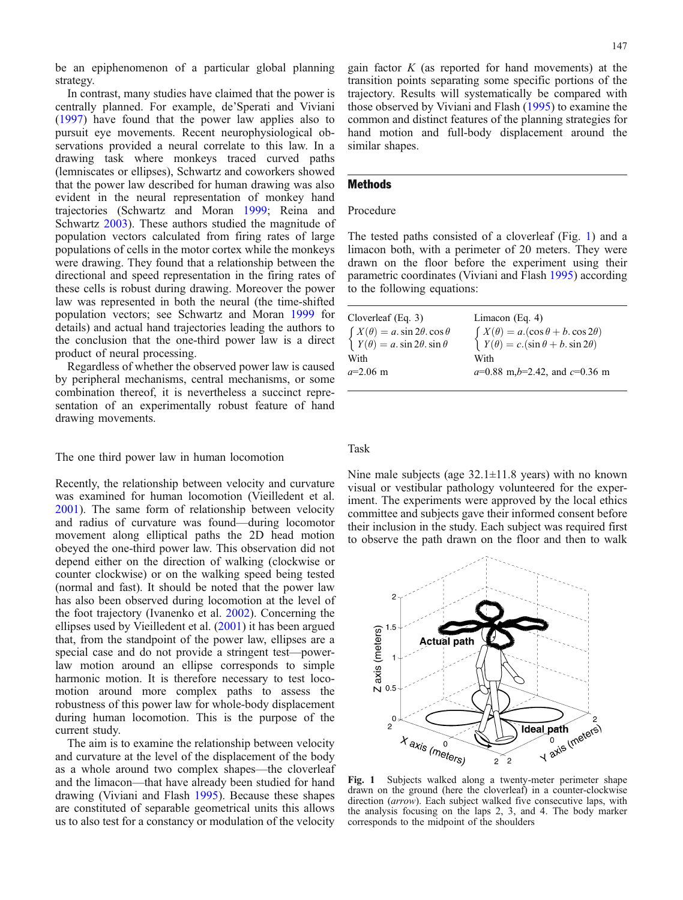be an epiphenomenon of a particular global planning strategy.

In contrast, many studies have claimed that the power is centrally planned. For example, de'Sperati and Viviani ([1997\)](#page-8-0) have found that the power law applies also to pursuit eye movements. Recent neurophysiological observations provided a neural correlate to this law. In a drawing task where monkeys traced curved paths (lemniscates or ellipses), Schwartz and coworkers showed that the power law described for human drawing was also evident in the neural representation of monkey hand trajectories (Schwartz and Moran [1999](#page-9-0); Reina and Schwartz [2003\)](#page-9-0). These authors studied the magnitude of population vectors calculated from firing rates of large populations of cells in the motor cortex while the monkeys were drawing. They found that a relationship between the directional and speed representation in the firing rates of these cells is robust during drawing. Moreover the power law was represented in both the neural (the time-shifted population vectors; see Schwartz and Moran [1999](#page-9-0) for details) and actual hand trajectories leading the authors to the conclusion that the one-third power law is a direct product of neural processing.

Regardless of whether the observed power law is caused by peripheral mechanisms, central mechanisms, or some combination thereof, it is nevertheless a succinct representation of an experimentally robust feature of hand drawing movements.

#### The one third power law in human locomotion

Recently, the relationship between velocity and curvature was examined for human locomotion (Vieilledent et al. [2001](#page-9-0)). The same form of relationship between velocity and radius of curvature was found—during locomotor movement along elliptical paths the 2D head motion obeyed the one-third power law. This observation did not depend either on the direction of walking (clockwise or counter clockwise) or on the walking speed being tested (normal and fast). It should be noted that the power law has also been observed during locomotion at the level of the foot trajectory (Ivanenko et al. [2002\)](#page-8-0). Concerning the ellipses used by Vieilledent et al. [\(2001](#page-9-0)) it has been argued that, from the standpoint of the power law, ellipses are a special case and do not provide a stringent test—powerlaw motion around an ellipse corresponds to simple harmonic motion. It is therefore necessary to test locomotion around more complex paths to assess the robustness of this power law for whole-body displacement during human locomotion. This is the purpose of the current study.

The aim is to examine the relationship between velocity and curvature at the level of the displacement of the body as a whole around two complex shapes—the cloverleaf and the limacon—that have already been studied for hand drawing (Viviani and Flash [1995](#page-9-0)). Because these shapes are constituted of separable geometrical units this allows us to also test for a constancy or modulation of the velocity

gain factor  $K$  (as reported for hand movements) at the transition points separating some specific portions of the trajectory. Results will systematically be compared with those observed by Viviani and Flash [\(1995](#page-9-0)) to examine the common and distinct features of the planning strategies for hand motion and full-body displacement around the similar shapes.

# Methods

### Procedure

The tested paths consisted of a cloverleaf (Fig. 1) and a limacon both, with a perimeter of 20 meters. They were drawn on the floor before the experiment using their parametric coordinates (Viviani and Flash [1995](#page-9-0)) according to the following equations:

| Cloverleaf $(Eq. 3)$                                                                                                                   | Limacon $(Eq. 4)$                                                                                                                      |
|----------------------------------------------------------------------------------------------------------------------------------------|----------------------------------------------------------------------------------------------------------------------------------------|
| $\begin{cases}\nX(\theta) = a \cdot \sin 2\theta \cdot \cos \theta \\ Y(\theta) = a \cdot \sin 2\theta \cdot \sin \theta\n\end{cases}$ | $\begin{cases}\nX(\theta) = a.(\cos \theta + b \cdot \cos 2\theta) \\ Y(\theta) = c.(\sin \theta + b \cdot \sin 2\theta)\n\end{cases}$ |
| With                                                                                                                                   | With                                                                                                                                   |
| $a=2.06$ m                                                                                                                             | $a=0.88$ m, $b=2.42$ , and $c=0.36$ m                                                                                                  |

## Task

Nine male subjects (age 32.1±11.8 years) with no known visual or vestibular pathology volunteered for the experiment. The experiments were approved by the local ethics committee and subjects gave their informed consent before their inclusion in the study. Each subject was required first to observe the path drawn on the floor and then to walk



Fig. 1 Subjects walked along a twenty-meter perimeter shape drawn on the ground (here the cloverleaf) in a counter-clockwise direction (arrow). Each subject walked five consecutive laps, with the analysis focusing on the laps 2, 3, and 4. The body marker corresponds to the midpoint of the shoulders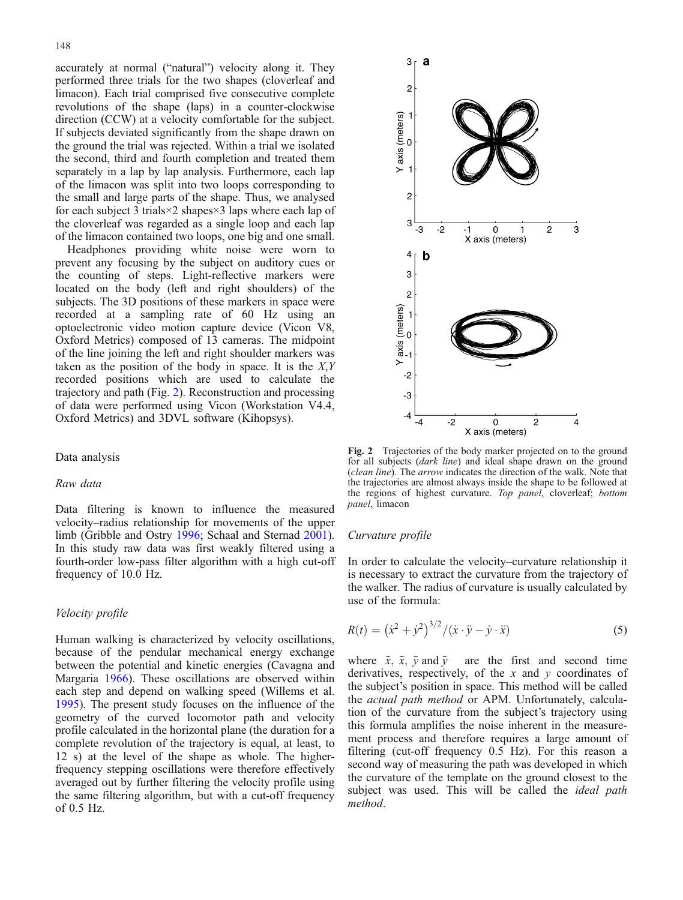<span id="page-3-0"></span>accurately at normal ("natural") velocity along it. They performed three trials for the two shapes (cloverleaf and limacon). Each trial comprised five consecutive complete revolutions of the shape (laps) in a counter-clockwise direction (CCW) at a velocity comfortable for the subject. If subjects deviated significantly from the shape drawn on the ground the trial was rejected. Within a trial we isolated the second, third and fourth completion and treated them separately in a lap by lap analysis. Furthermore, each lap of the limacon was split into two loops corresponding to the small and large parts of the shape. Thus, we analysed for each subject 3 trials×2 shapes×3 laps where each lap of the cloverleaf was regarded as a single loop and each lap of the limacon contained two loops, one big and one small.

Headphones providing white noise were worn to prevent any focusing by the subject on auditory cues or the counting of steps. Light-reflective markers were located on the body (left and right shoulders) of the subjects. The 3D positions of these markers in space were recorded at a sampling rate of 60 Hz using an optoelectronic video motion capture device (Vicon V8, Oxford Metrics) composed of 13 cameras. The midpoint of the line joining the left and right shoulder markers was taken as the position of the body in space. It is the  $X, Y$ recorded positions which are used to calculate the trajectory and path (Fig. 2). Reconstruction and processing of data were performed using Vicon (Workstation V4.4, Oxford Metrics) and 3DVL software (Kihopsys).

#### Data analysis

#### Raw data

Data filtering is known to influence the measured velocity–radius relationship for movements of the upper limb (Gribble and Ostry [1996;](#page-8-0) Schaal and Sternad [2001\)](#page-9-0). In this study raw data was first weakly filtered using a fourth-order low-pass filter algorithm with a high cut-off frequency of 10.0 Hz.

#### Velocity profile

Human walking is characterized by velocity oscillations, because of the pendular mechanical energy exchange between the potential and kinetic energies (Cavagna and Margaria [1966\)](#page-8-0). These oscillations are observed within each step and depend on walking speed (Willems et al. [1995](#page-9-0)). The present study focuses on the influence of the geometry of the curved locomotor path and velocity profile calculated in the horizontal plane (the duration for a complete revolution of the trajectory is equal, at least, to 12 s) at the level of the shape as whole. The higherfrequency stepping oscillations were therefore effectively averaged out by further filtering the velocity profile using the same filtering algorithm, but with a cut-off frequency of 0.5 Hz.



Fig. 2 Trajectories of the body marker projected on to the ground for all subjects (dark line) and ideal shape drawn on the ground (clean line). The arrow indicates the direction of the walk. Note that the trajectories are almost always inside the shape to be followed at the regions of highest curvature. Top panel, cloverleaf; bottom panel, limacon

#### Curvature profile

In order to calculate the velocity–curvature relationship it is necessary to extract the curvature from the trajectory of the walker. The radius of curvature is usually calculated by use of the formula:

$$
R(t) = (\dot{x}^2 + \dot{y}^2)^{3/2} / (\dot{x} \cdot \ddot{y} - \dot{y} \cdot \ddot{x})
$$
 (5)

where  $\bar{x}$ ,  $\bar{x}$ ,  $\bar{y}$  and  $\bar{y}$  are the first and second time derivatives, respectively, of the x and y coordinates of the subject's position in space. This method will be called the actual path method or APM. Unfortunately, calculation of the curvature from the subject's trajectory using this formula amplifies the noise inherent in the measurement process and therefore requires a large amount of filtering (cut-off frequency 0.5 Hz). For this reason a second way of measuring the path was developed in which the curvature of the template on the ground closest to the subject was used. This will be called the *ideal path* method.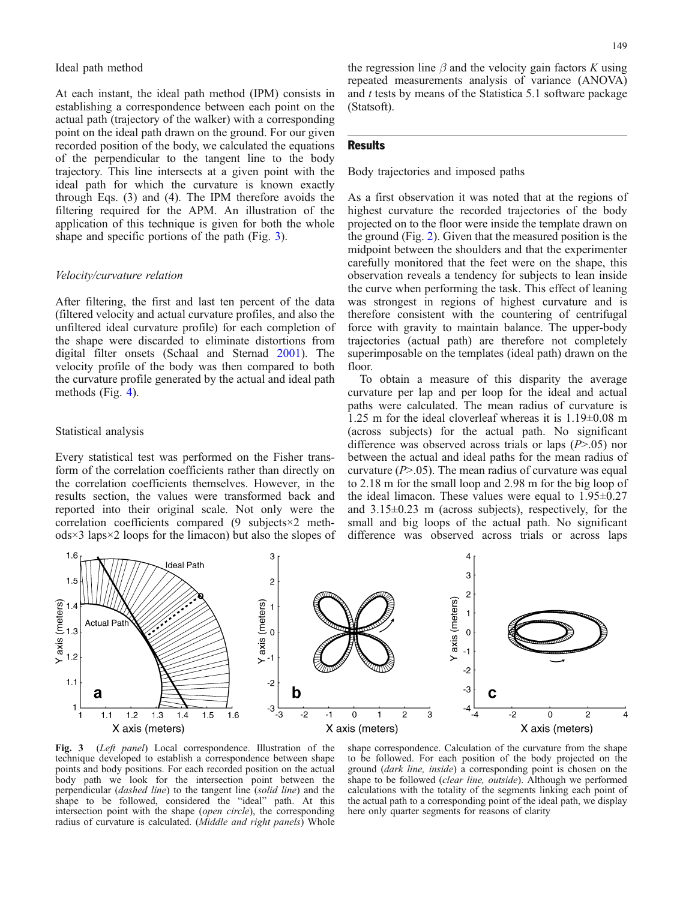### Ideal path method

At each instant, the ideal path method (IPM) consists in establishing a correspondence between each point on the actual path (trajectory of the walker) with a corresponding point on the ideal path drawn on the ground. For our given recorded position of the body, we calculated the equations of the perpendicular to the tangent line to the body trajectory. This line intersects at a given point with the ideal path for which the curvature is known exactly through Eqs. (3) and (4). The IPM therefore avoids the filtering required for the APM. An illustration of the application of this technique is given for both the whole shape and specific portions of the path (Fig. 3).

## Velocity/curvature relation

After filtering, the first and last ten percent of the data (filtered velocity and actual curvature profiles, and also the unfiltered ideal curvature profile) for each completion of the shape were discarded to eliminate distortions from digital filter onsets (Schaal and Sternad [2001\)](#page-9-0). The velocity profile of the body was then compared to both the curvature profile generated by the actual and ideal path methods (Fig. [4](#page-5-0)).

### Statistical analysis

Every statistical test was performed on the Fisher transform of the correlation coefficients rather than directly on the correlation coefficients themselves. However, in the results section, the values were transformed back and reported into their original scale. Not only were the correlation coefficients compared (9 subjects×2 methods×3 laps×2 loops for the limacon) but also the slopes of the regression line  $\beta$  and the velocity gain factors K using repeated measurements analysis of variance (ANOVA) and  $t$  tests by means of the Statistica 5.1 software package (Statsoft).

#### Results

Body trajectories and imposed paths

As a first observation it was noted that at the regions of highest curvature the recorded trajectories of the body projected on to the floor were inside the template drawn on the ground (Fig. [2\)](#page-3-0). Given that the measured position is the midpoint between the shoulders and that the experimenter carefully monitored that the feet were on the shape, this observation reveals a tendency for subjects to lean inside the curve when performing the task. This effect of leaning was strongest in regions of highest curvature and is therefore consistent with the countering of centrifugal force with gravity to maintain balance. The upper-body trajectories (actual path) are therefore not completely superimposable on the templates (ideal path) drawn on the floor.

To obtain a measure of this disparity the average curvature per lap and per loop for the ideal and actual paths were calculated. The mean radius of curvature is 1.25 m for the ideal cloverleaf whereas it is 1.19±0.08 m (across subjects) for the actual path. No significant difference was observed across trials or laps  $(P>0.05)$  nor between the actual and ideal paths for the mean radius of curvature  $(P>0.05)$ . The mean radius of curvature was equal to 2.18 m for the small loop and 2.98 m for the big loop of the ideal limacon. These values were equal to 1.95±0.27 and 3.15±0.23 m (across subjects), respectively, for the small and big loops of the actual path. No significant difference was observed across trials or across laps



Fig. 3 (Left panel) Local correspondence. Illustration of the technique developed to establish a correspondence between shape points and body positions. For each recorded position on the actual body path we look for the intersection point between the perpendicular (dashed line) to the tangent line (solid line) and the shape to be followed, considered the "ideal" path. At this intersection point with the shape (open circle), the corresponding radius of curvature is calculated. (*Middle and right panels*) Whole

shape correspondence. Calculation of the curvature from the shape to be followed. For each position of the body projected on the ground (dark line, inside) a corresponding point is chosen on the shape to be followed (clear line, outside). Although we performed calculations with the totality of the segments linking each point of the actual path to a corresponding point of the ideal path, we display here only quarter segments for reasons of clarity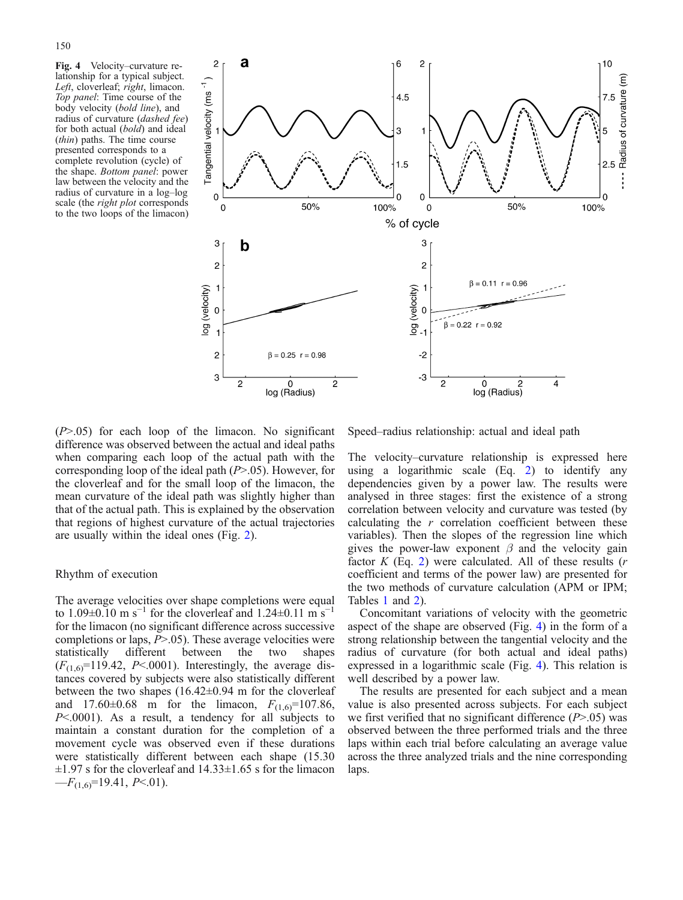<span id="page-5-0"></span>Fig. 4 Velocity–curvature relationship for a typical subject. Left, cloverleaf; right, limacon. Top panel: Time course of the body velocity (bold line), and radius of curvature *(dashed fee)* for both actual (bold) and ideal (thin) paths. The time course presented corresponds to a complete revolution (cycle) of the shape. Bottom panel: power law between the velocity and the radius of curvature in a log–log scale (the *right plot* corresponds to the two loops of the limacon)



 $(P>0.05)$  for each loop of the limacon. No significant difference was observed between the actual and ideal paths when comparing each loop of the actual path with the corresponding loop of the ideal path  $(P>0.05)$ . However, for the cloverleaf and for the small loop of the limacon, the mean curvature of the ideal path was slightly higher than that of the actual path. This is explained by the observation that regions of highest curvature of the actual trajectories are usually within the ideal ones (Fig. [2](#page-3-0)).

## Rhythm of execution

The average velocities over shape completions were equal to 1.09 $\pm$ 0.10 m s<sup>-1</sup> for the cloverleaf and 1.24 $\pm$ 0.11 m s<sup>-1</sup> for the limacon (no significant difference across successive completions or laps, P>.05). These average velocities were statistically different between the two shapes  $(F<sub>(1,6)</sub>=119.42, P<sub>(0.6)</sub>1)$ . Interestingly, the average distances covered by subjects were also statistically different between the two shapes  $(16.42\pm0.94 \text{ m}$  for the cloverleaf and 17.60 $\pm$ 0.68 m for the limacon,  $F_{(1,6)}$ =107.86,  $P<.0001$ ). As a result, a tendency for all subjects to maintain a constant duration for the completion of a movement cycle was observed even if these durations were statistically different between each shape (15.30  $\pm$ 1.97 s for the cloverleaf and 14.33 $\pm$ 1.65 s for the limacon  $-F_{(1,6)}$ =19.41, P<.01).

Speed–radius relationship: actual and ideal path

The velocity–curvature relationship is expressed here using a logarithmic scale (Eq. 2) to identify any dependencies given by a power law. The results were analysed in three stages: first the existence of a strong correlation between velocity and curvature was tested (by calculating the  $r$  correlation coefficient between these variables). Then the slopes of the regression line which gives the power-law exponent  $\beta$  and the velocity gain factor K (Eq. 2) were calculated. All of these results  $(r)$ coefficient and terms of the power law) are presented for the two methods of curvature calculation (APM or IPM; Tables [1](#page-6-0) and [2](#page-6-0)).

Concomitant variations of velocity with the geometric aspect of the shape are observed (Fig. 4) in the form of a strong relationship between the tangential velocity and the radius of curvature (for both actual and ideal paths) expressed in a logarithmic scale (Fig. 4). This relation is well described by a power law.

The results are presented for each subject and a mean value is also presented across subjects. For each subject we first verified that no significant difference  $(P>0.05)$  was observed between the three performed trials and the three laps within each trial before calculating an average value across the three analyzed trials and the nine corresponding laps.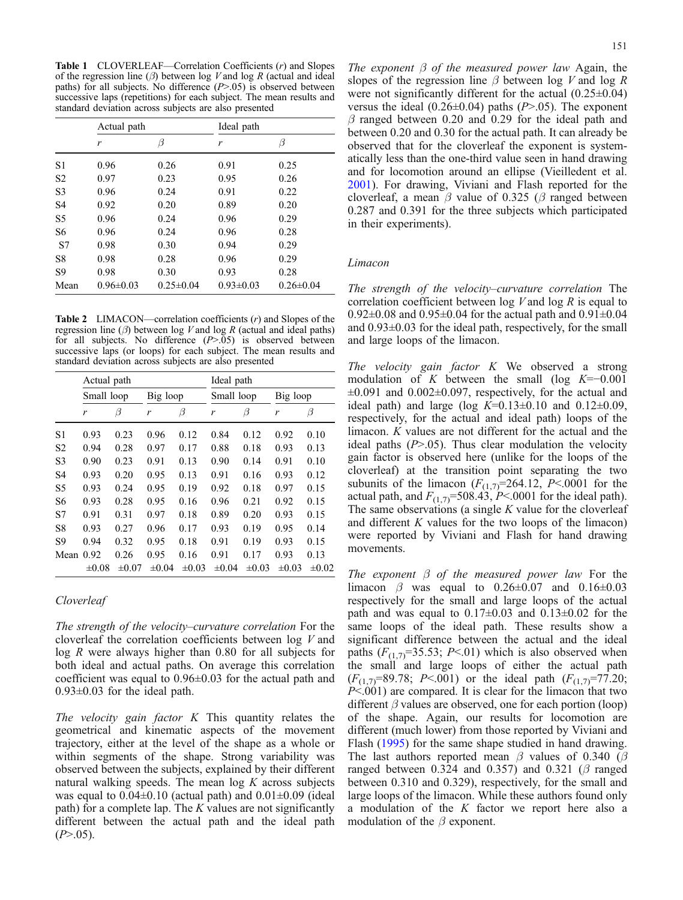<span id="page-6-0"></span>Table 1 CLOVERLEAF—Correlation Coefficients (r) and Slopes of the regression line  $(\beta)$  between log V and log R (actual and ideal paths) for all subjects. No difference  $(P>0.05)$  is observed between successive laps (repetitions) for each subject. The mean results and standard deviation across subjects are also presented

|                | Actual path     |                 | Ideal path      |                 |  |
|----------------|-----------------|-----------------|-----------------|-----------------|--|
|                | r               | β               | r               | β               |  |
| S1             | 0.96            | 0.26            | 0.91            | 0.25            |  |
| S <sub>2</sub> | 0.97            | 0.23            | 0.95            | 0.26            |  |
| S <sub>3</sub> | 0.96            | 0.24            | 0.91            | 0.22            |  |
| S <sub>4</sub> | 0.92            | 0.20            | 0.89            | 0.20            |  |
| S <sub>5</sub> | 0.96            | 0.24            | 0.96            | 0.29            |  |
| S <sub>6</sub> | 0.96            | 0.24            | 0.96            | 0.28            |  |
| S7             | 0.98            | 0.30            | 0.94            | 0.29            |  |
| S8             | 0.98            | 0.28            | 0.96            | 0.29            |  |
| S <sub>9</sub> | 0.98            | 0.30            | 0.93            | 0.28            |  |
| Mean           | $0.96 \pm 0.03$ | $0.25 \pm 0.04$ | $0.93 \pm 0.03$ | $0.26 \pm 0.04$ |  |

**Table 2** LIMACON—correlation coefficients  $(r)$  and Slopes of the regression line ( $\beta$ ) between log V and log R (actual and ideal paths) for all subjects. No difference  $(P > .05)$  is observed between successive laps (or loops) for each subject. The mean results and standard deviation across subjects are also presented

|                | Actual path |            |            |            | Ideal path |            |            |            |
|----------------|-------------|------------|------------|------------|------------|------------|------------|------------|
|                | Small loop  |            | Big loop   |            | Small loop |            | Big loop   |            |
|                | r           | β          | r          | β          | r          | β          | r          | β          |
| S1             | 0.93        | 0.23       | 0.96       | 0.12       | 0.84       | 0.12       | 0.92       | 0.10       |
| S <sub>2</sub> | 0.94        | 0.28       | 0.97       | 0.17       | 0.88       | 0.18       | 0.93       | 0.13       |
| S <sub>3</sub> | 0.90        | 0.23       | 0.91       | 0.13       | 0.90       | 0.14       | 0.91       | 0.10       |
| S <sub>4</sub> | 0.93        | 0.20       | 0.95       | 0.13       | 0.91       | 0.16       | 0.93       | 0.12       |
| S <sub>5</sub> | 0.93        | 0.24       | 0.95       | 0.19       | 0.92       | 0.18       | 0.97       | 0.15       |
| S6             | 0.93        | 0.28       | 0.95       | 0.16       | 0.96       | 0.21       | 0.92       | 0.15       |
| S7             | 0.91        | 0.31       | 0.97       | 0.18       | 0.89       | 0.20       | 0.93       | 0.15       |
| S8             | 0.93        | 0.27       | 0.96       | 0.17       | 0.93       | 0.19       | 0.95       | 0.14       |
| S9             | 0.94        | 0.32       | 0.95       | 0.18       | 0.91       | 0.19       | 0.93       | 0.15       |
| Mean           | 0.92        | 0.26       | 0.95       | 0.16       | 0.91       | 0.17       | 0.93       | 0.13       |
|                | $\pm 0.08$  | $\pm 0.07$ | $\pm 0.04$ | $\pm 0.03$ | $\pm 0.04$ | $\pm 0.03$ | $\pm 0.03$ | $\pm 0.02$ |

# Cloverleaf

The strength of the velocity–curvature correlation For the cloverleaf the correlation coefficients between log V and log R were always higher than 0.80 for all subjects for both ideal and actual paths. On average this correlation coefficient was equal to 0.96±0.03 for the actual path and  $0.93\pm0.03$  for the ideal path.

The velocity gain factor  $K$  This quantity relates the geometrical and kinematic aspects of the movement trajectory, either at the level of the shape as a whole or within segments of the shape. Strong variability was observed between the subjects, explained by their different natural walking speeds. The mean  $log K$  across subjects was equal to  $0.04\pm0.10$  (actual path) and  $0.01\pm0.09$  (ideal path) for a complete lap. The  $K$  values are not significantly different between the actual path and the ideal path  $(P > .05)$ .

The exponent  $\beta$  of the measured power law Again, the slopes of the regression line  $\beta$  between log V and log R were not significantly different for the actual  $(0.25\pm0.04)$ versus the ideal  $(0.26\pm0.04)$  paths  $(P>0.05)$ . The exponent  $\beta$  ranged between 0.20 and 0.29 for the ideal path and between 0.20 and 0.30 for the actual path. It can already be observed that for the cloverleaf the exponent is systematically less than the one-third value seen in hand drawing and for locomotion around an ellipse (Vieilledent et al. [2001](#page-9-0)). For drawing, Viviani and Flash reported for the cloverleaf, a mean  $\beta$  value of 0.325 ( $\beta$  ranged between 0.287 and 0.391 for the three subjects which participated in their experiments).

#### Limacon

The strength of the velocity–curvature correlation The correlation coefficient between  $log V$  and  $log R$  is equal to 0.92 $\pm$ 0.08 and 0.95 $\pm$ 0.04 for the actual path and 0.91 $\pm$ 0.04 and 0.93±0.03 for the ideal path, respectively, for the small and large loops of the limacon.

The velocity gain factor  $K$  We observed a strong modulation of K between the small (log  $K=-0.001$ )  $\pm 0.091$  and  $0.002 \pm 0.097$ , respectively, for the actual and ideal path) and large (log  $K=0.13\pm0.10$  and  $0.12\pm0.09$ , respectively, for the actual and ideal path) loops of the limacon. K values are not different for the actual and the ideal paths  $(P>0.05)$ . Thus clear modulation the velocity gain factor is observed here (unlike for the loops of the cloverleaf) at the transition point separating the two subunits of the limacon  $(F_{(1,7)}=264.12, P<.0001$  for the actual path, and  $F_{(1,7)}$ =508.43, P<.0001 for the ideal path). The same observations (a single  $K$  value for the cloverleaf and different  $K$  values for the two loops of the limacon) were reported by Viviani and Flash for hand drawing movements.

The exponent  $\beta$  of the measured power law For the limacon  $\beta$  was equal to 0.26±0.07 and 0.16±0.03 respectively for the small and large loops of the actual path and was equal to  $0.17\pm0.03$  and  $0.13\pm0.02$  for the same loops of the ideal path. These results show a significant difference between the actual and the ideal paths  $(F_{(1,7)}=35.53; P<.01)$  which is also observed when the small and large loops of either the actual path  $(F_{(1,7)}=89.78; P<.001)$  or the ideal path  $(F_{(1,7)}=77.20;$  $P<.001$ ) are compared. It is clear for the limacon that two different  $\beta$  values are observed, one for each portion (loop) of the shape. Again, our results for locomotion are different (much lower) from those reported by Viviani and Flash [\(1995](#page-9-0)) for the same shape studied in hand drawing. The last authors reported mean  $\beta$  values of 0.340 ( $\beta$ ranged between 0.324 and 0.357) and 0.321 ( $\beta$  ranged between 0.310 and 0.329), respectively, for the small and large loops of the limacon. While these authors found only a modulation of the K factor we report here also a modulation of the  $\beta$  exponent.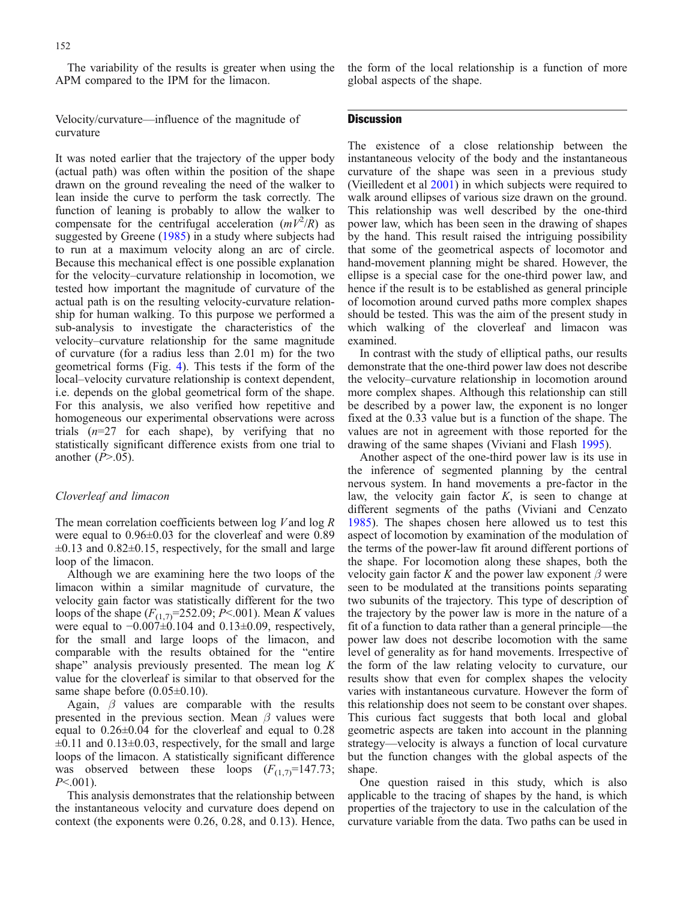The variability of the results is greater when using the APM compared to the IPM for the limacon.

Velocity/curvature—influence of the magnitude of curvature

It was noted earlier that the trajectory of the upper body (actual path) was often within the position of the shape drawn on the ground revealing the need of the walker to lean inside the curve to perform the task correctly. The function of leaning is probably to allow the walker to compensate for the centrifugal acceleration  $(mV^2/R)$  as suggested by Greene ([1985](#page-8-0)) in a study where subjects had to run at a maximum velocity along an arc of circle. Because this mechanical effect is one possible explanation for the velocity–curvature relationship in locomotion, we tested how important the magnitude of curvature of the actual path is on the resulting velocity-curvature relationship for human walking. To this purpose we performed a sub-analysis to investigate the characteristics of the velocity–curvature relationship for the same magnitude of curvature (for a radius less than 2.01 m) for the two geometrical forms (Fig. [4\)](#page-5-0). This tests if the form of the local–velocity curvature relationship is context dependent, i.e. depends on the global geometrical form of the shape. For this analysis, we also verified how repetitive and homogeneous our experimental observations were across trials  $(n=27$  for each shape), by verifying that no statistically significant difference exists from one trial to another  $(P>0.05)$ .

## Cloverleaf and limacon

The mean correlation coefficients between  $\log V$  and  $\log R$ were equal to 0.96±0.03 for the cloverleaf and were 0.89  $\pm 0.13$  and  $0.82 \pm 0.15$ , respectively, for the small and large loop of the limacon.

Although we are examining here the two loops of the limacon within a similar magnitude of curvature, the velocity gain factor was statistically different for the two loops of the shape  $(F_{(1,7)}=252.09; P<.001)$ . Mean K values were equal to  $-0.007\pm0.104$  and  $0.13\pm0.09$ , respectively, for the small and large loops of the limacon, and comparable with the results obtained for the "entire shape" analysis previously presented. The mean  $log K$ value for the cloverleaf is similar to that observed for the same shape before  $(0.05\pm0.10)$ .

Again,  $\beta$  values are comparable with the results presented in the previous section. Mean  $\beta$  values were equal to 0.26±0.04 for the cloverleaf and equal to 0.28  $\pm 0.11$  and  $0.13\pm 0.03$ , respectively, for the small and large loops of the limacon. A statistically significant difference was observed between these loops  $(F_{(1,7)}=147.73;$  $P<.001$ ).

This analysis demonstrates that the relationship between the instantaneous velocity and curvature does depend on context (the exponents were 0.26, 0.28, and 0.13). Hence, the form of the local relationship is a function of more global aspects of the shape.

## **Discussion**

The existence of a close relationship between the instantaneous velocity of the body and the instantaneous curvature of the shape was seen in a previous study (Vieilledent et al [2001\)](#page-9-0) in which subjects were required to walk around ellipses of various size drawn on the ground. This relationship was well described by the one-third power law, which has been seen in the drawing of shapes by the hand. This result raised the intriguing possibility that some of the geometrical aspects of locomotor and hand-movement planning might be shared. However, the ellipse is a special case for the one-third power law, and hence if the result is to be established as general principle of locomotion around curved paths more complex shapes should be tested. This was the aim of the present study in which walking of the cloverleaf and limacon was examined.

In contrast with the study of elliptical paths, our results demonstrate that the one-third power law does not describe the velocity–curvature relationship in locomotion around more complex shapes. Although this relationship can still be described by a power law, the exponent is no longer fixed at the 0.33 value but is a function of the shape. The values are not in agreement with those reported for the drawing of the same shapes (Viviani and Flash [1995\)](#page-9-0).

Another aspect of the one-third power law is its use in the inference of segmented planning by the central nervous system. In hand movements a pre-factor in the law, the velocity gain factor  $K$ , is seen to change at different segments of the paths (Viviani and Cenzato [1985](#page-9-0)). The shapes chosen here allowed us to test this aspect of locomotion by examination of the modulation of the terms of the power-law fit around different portions of the shape. For locomotion along these shapes, both the velocity gain factor K and the power law exponent  $\beta$  were seen to be modulated at the transitions points separating two subunits of the trajectory. This type of description of the trajectory by the power law is more in the nature of a fit of a function to data rather than a general principle—the power law does not describe locomotion with the same level of generality as for hand movements. Irrespective of the form of the law relating velocity to curvature, our results show that even for complex shapes the velocity varies with instantaneous curvature. However the form of this relationship does not seem to be constant over shapes. This curious fact suggests that both local and global geometric aspects are taken into account in the planning strategy—velocity is always a function of local curvature but the function changes with the global aspects of the shape.

One question raised in this study, which is also applicable to the tracing of shapes by the hand, is which properties of the trajectory to use in the calculation of the curvature variable from the data. Two paths can be used in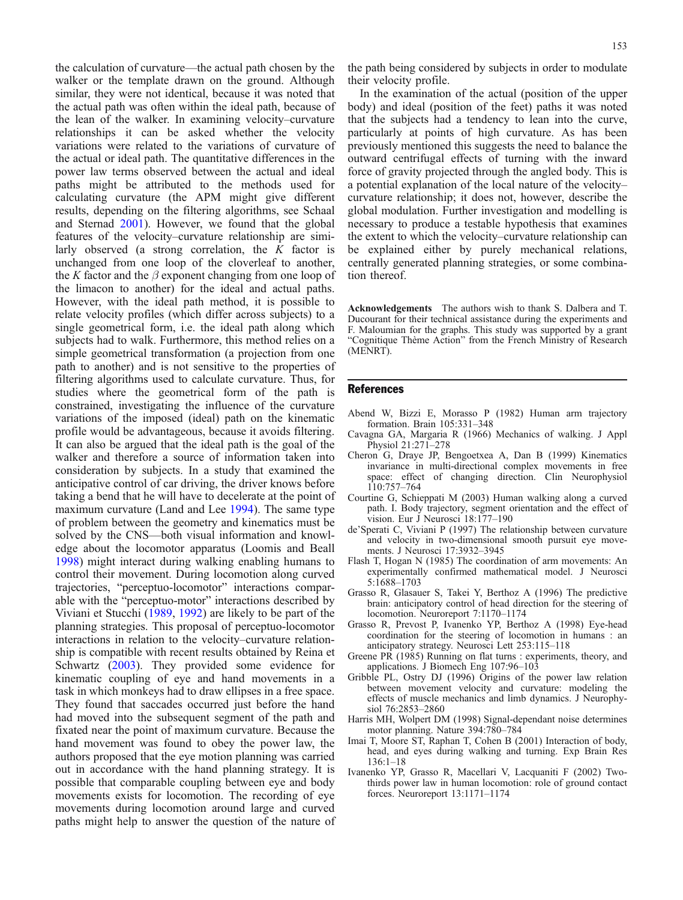<span id="page-8-0"></span>the calculation of curvature—the actual path chosen by the walker or the template drawn on the ground. Although similar, they were not identical, because it was noted that the actual path was often within the ideal path, because of the lean of the walker. In examining velocity–curvature relationships it can be asked whether the velocity variations were related to the variations of curvature of the actual or ideal path. The quantitative differences in the power law terms observed between the actual and ideal paths might be attributed to the methods used for calculating curvature (the APM might give different results, depending on the filtering algorithms, see Schaal and Sternad [2001\)](#page-9-0). However, we found that the global features of the velocity–curvature relationship are similarly observed (a strong correlation, the  $K$  factor is unchanged from one loop of the cloverleaf to another, the K factor and the  $\beta$  exponent changing from one loop of the limacon to another) for the ideal and actual paths. However, with the ideal path method, it is possible to relate velocity profiles (which differ across subjects) to a single geometrical form, i.e. the ideal path along which subjects had to walk. Furthermore, this method relies on a simple geometrical transformation (a projection from one path to another) and is not sensitive to the properties of filtering algorithms used to calculate curvature. Thus, for studies where the geometrical form of the path is constrained, investigating the influence of the curvature variations of the imposed (ideal) path on the kinematic profile would be advantageous, because it avoids filtering. It can also be argued that the ideal path is the goal of the walker and therefore a source of information taken into consideration by subjects. In a study that examined the anticipative control of car driving, the driver knows before taking a bend that he will have to decelerate at the point of maximum curvature (Land and Lee [1994](#page-9-0)). The same type of problem between the geometry and kinematics must be solved by the CNS—both visual information and knowledge about the locomotor apparatus (Loomis and Beall [1998](#page-9-0)) might interact during walking enabling humans to control their movement. During locomotion along curved trajectories, "perceptuo-locomotor" interactions comparable with the "perceptuo-motor" interactions described by Viviani et Stucchi [\(1989](#page-9-0), [1992\)](#page-9-0) are likely to be part of the planning strategies. This proposal of perceptuo-locomotor interactions in relation to the velocity–curvature relationship is compatible with recent results obtained by Reina et Schwartz ([2003\)](#page-9-0). They provided some evidence for kinematic coupling of eye and hand movements in a task in which monkeys had to draw ellipses in a free space. They found that saccades occurred just before the hand had moved into the subsequent segment of the path and fixated near the point of maximum curvature. Because the hand movement was found to obey the power law, the authors proposed that the eye motion planning was carried out in accordance with the hand planning strategy. It is possible that comparable coupling between eye and body movements exists for locomotion. The recording of eye movements during locomotion around large and curved paths might help to answer the question of the nature of

the path being considered by subjects in order to modulate their velocity profile.

In the examination of the actual (position of the upper body) and ideal (position of the feet) paths it was noted that the subjects had a tendency to lean into the curve, particularly at points of high curvature. As has been previously mentioned this suggests the need to balance the outward centrifugal effects of turning with the inward force of gravity projected through the angled body. This is a potential explanation of the local nature of the velocity– curvature relationship; it does not, however, describe the global modulation. Further investigation and modelling is necessary to produce a testable hypothesis that examines the extent to which the velocity–curvature relationship can be explained either by purely mechanical relations, centrally generated planning strategies, or some combination thereof.

Acknowledgements The authors wish to thank S. Dalbera and T. Ducourant for their technical assistance during the experiments and F. Maloumian for the graphs. This study was supported by a grant "Cognitique Thème Action" from the French Ministry of Research (MENRT).

#### References

- Abend W, Bizzi E, Morasso P (1982) Human arm trajectory formation. Brain 105:331–348
- Cavagna GA, Margaria R (1966) Mechanics of walking. J Appl Physiol 21:271–278
- Cheron G, Draye JP, Bengoetxea A, Dan B (1999) Kinematics invariance in multi-directional complex movements in free space: effect of changing direction. Clin Neurophysiol 110:757–764
- Courtine G, Schieppati M (2003) Human walking along a curved path. I. Body trajectory, segment orientation and the effect of vision. Eur J Neurosci 18:177–190
- de'Sperati C, Viviani P (1997) The relationship between curvature and velocity in two-dimensional smooth pursuit eye movements. J Neurosci 17:3932–3945
- Flash T, Hogan N (1985) The coordination of arm movements: An experimentally confirmed mathematical model. J Neurosci 5:1688–1703
- Grasso R, Glasauer S, Takei Y, Berthoz A (1996) The predictive brain: anticipatory control of head direction for the steering of locomotion. Neuroreport 7:1170–1174
- Grasso R, Prevost P, Ivanenko YP, Berthoz A (1998) Eye-head coordination for the steering of locomotion in humans : an anticipatory strategy. Neurosci Lett 253:115–118
- Greene PR (1985) Running on flat turns : experiments, theory, and applications. J Biomech Eng 107:96–103
- Gribble PL, Ostry DJ (1996) Origins of the power law relation between movement velocity and curvature: modeling the effects of muscle mechanics and limb dynamics. J Neurophysiol 76:2853–2860
- Harris MH, Wolpert DM (1998) Signal-dependant noise determines motor planning. Nature 394:780–784
- Imai T, Moore ST, Raphan T, Cohen B (2001) Interaction of body, head, and eyes during walking and turning. Exp Brain Res 136:1–18
- Ivanenko YP, Grasso R, Macellari V, Lacquaniti F (2002) Twothirds power law in human locomotion: role of ground contact forces. Neuroreport 13:1171–1174